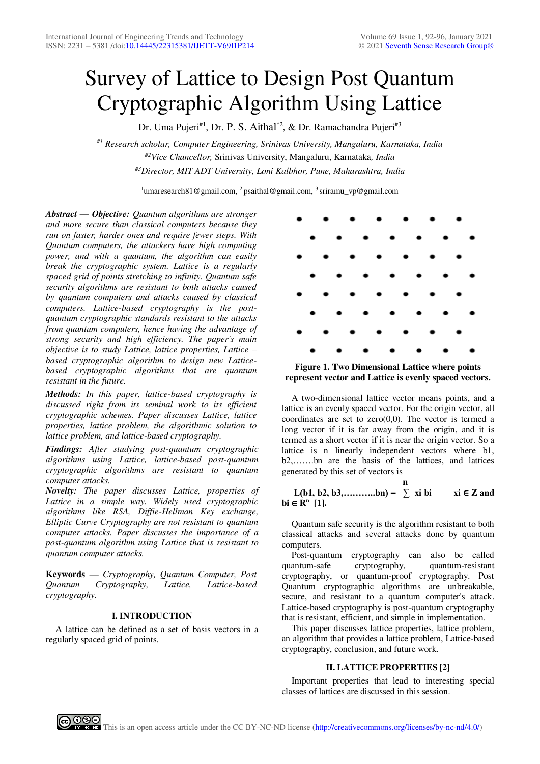# Survey of Lattice to Design Post Quantum Cryptographic Algorithm Using Lattice

Dr. Uma Pujeri<sup>#1</sup>, Dr. P. S. Aithal<sup>\*2</sup>, & Dr. Ramachandra Pujeri<sup>#3</sup>

*#1 Research scholar, Computer Engineering, Srinivas University, Mangaluru, Karnataka, India #2Vice Chancellor,* Srinivas University, Mangaluru, Karnataka*, India #3Director, MIT ADT University, Loni Kalbhor, Pune, Maharashtra, India*

<sup>1</sup>umaresearch81@gmail.com, <sup>2</sup> psaithal@gmail.com, <sup>3</sup> sriramu\_vp@gmail.com

*Abstract* — *Objective: Quantum algorithms are stronger and more secure than classical computers because they run on faster, harder ones and require fewer steps. With Quantum computers, the attackers have high computing power, and with a quantum, the algorithm can easily break the cryptographic system. Lattice is a regularly spaced grid of points stretching to infinity. Quantum safe security algorithms are resistant to both attacks caused by quantum computers and attacks caused by classical computers. Lattice-based cryptography is the postquantum cryptographic standards resistant to the attacks from quantum computers, hence having the advantage of strong security and high efficiency. The paper's main objective is to study Lattice, lattice properties, Lattice – based cryptographic algorithm to design new Latticebased cryptographic algorithms that are quantum resistant in the future.* 

*Methods: In this paper, lattice-based cryptography is discussed right from its seminal work to its efficient cryptographic schemes. Paper discusses Lattice, lattice properties, lattice problem, the algorithmic solution to lattice problem, and lattice-based cryptography.* 

*Findings: After studying post-quantum cryptographic algorithms using Lattice, lattice-based post-quantum cryptographic algorithms are resistant to quantum computer attacks.*

*Novelty: The paper discusses Lattice, properties of Lattice in a simple way. Widely used cryptographic algorithms like RSA, Diffie-Hellman Key exchange, Elliptic Curve Cryptography are not resistant to quantum computer attacks. Paper discusses the importance of a post-quantum algorithm using Lattice that is resistant to quantum computer attacks.* 

**Keywords —** *Cryptography, Quantum Computer, Post Quantum Cryptography, Lattice, Lattice-based cryptography.* 

# **I. INTRODUCTION**

A lattice can be defined as a set of basis vectors in a regularly spaced grid of points.



**Figure 1. Two Dimensional Lattice where points represent vector and Lattice is evenly spaced vectors.** 

A two-dimensional lattice vector means points, and a lattice is an evenly spaced vector. For the origin vector, all coordinates are set to  $zero(0,0)$ . The vector is termed a long vector if it is far away from the origin, and it is termed as a short vector if it is near the origin vector. So a lattice is n linearly independent vectors where b1, b2,…….bn are the basis of the lattices, and lattices generated by this set of vectors is

 **n**   $L(b1, b2, b3, \ldots, bn) = \sum x i b i$  xi ∈ Z and **bi** ∈ **R<sup>n</sup> [1].** 

Quantum safe security is the algorithm resistant to both classical attacks and several attacks done by quantum computers.

Post-quantum cryptography can also be called quantum-safe cryptography, quantum-resistant cryptography, or quantum-proof cryptography. Post Quantum cryptographic algorithms are unbreakable, secure, and resistant to a quantum computer's attack. Lattice-based cryptography is post-quantum cryptography that is resistant, efficient, and simple in implementation.

This paper discusses lattice properties, lattice problem, an algorithm that provides a lattice problem, Lattice-based cryptography, conclusion, and future work.

# **II. LATTICE PROPERTIES [2]**

Important properties that lead to interesting special classes of lattices are discussed in this session.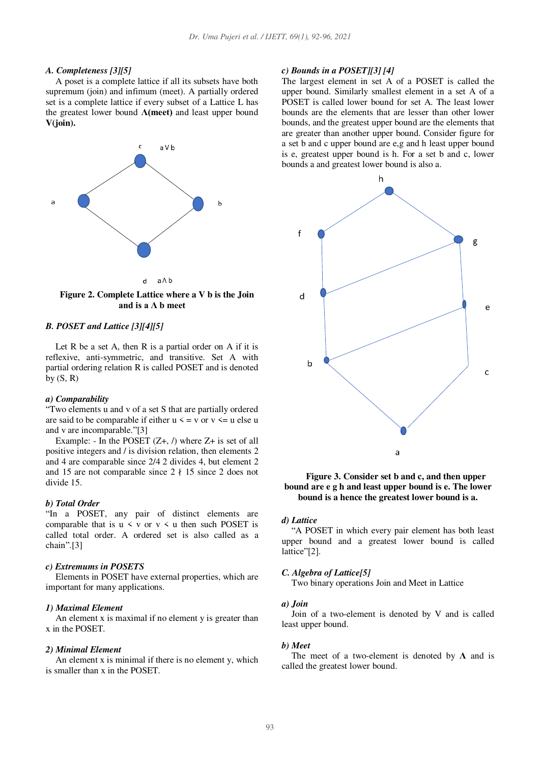#### *A. Completeness [3][5]*

A poset is a complete lattice if all its subsets have both supremum (join) and infimum (meet). A partially ordered set is a complete lattice if every subset of a Lattice L has the greatest lower bound **Λ(meet)** and least upper bound **V(join).**



**Figure 2. Complete Lattice where a V b is the Join and is a Λ b meet**

# *B. POSET and Lattice [3][4][5]*

Let R be a set A, then R is a partial order on A if it is reflexive, anti-symmetric, and transitive. Set A with partial ordering relation R is called POSET and is denoted by  $(S, R)$ 

#### *a) Comparability*

"Two elements u and v of a set S that are partially ordered are said to be comparable if either  $u \le v$  or  $v \le u$  else u and v are incomparable."[3]

Example: - In the POSET  $(Z+, \Lambda)$  where  $Z+$  is set of all positive integers and / is division relation, then elements 2 and 4 are comparable since 2/4 2 divides 4, but element 2 and 15 are not comparable since  $2 \nmid 15$  since 2 does not divide 15.

## *b) Total Order*

"In a POSET, any pair of distinct elements are comparable that is  $u \leq v$  or  $v \leq u$  then such POSET is called total order. A ordered set is also called as a chain".[3]

#### *c) Extremums in POSETS*

Elements in POSET have external properties, which are important for many applications.

#### *1) Maximal Element*

An element x is maximal if no element y is greater than x in the POSET.

# *2) Minimal Element*

An element x is minimal if there is no element y, which is smaller than x in the POSET.

#### *c) Bounds in a POSET][3] [4]*

The largest element in set A of a POSET is called the upper bound. Similarly smallest element in a set A of a POSET is called lower bound for set A. The least lower bounds are the elements that are lesser than other lower bounds, and the greatest upper bound are the elements that are greater than another upper bound. Consider figure for a set b and c upper bound are e,g and h least upper bound is e, greatest upper bound is h. For a set b and c, lower bounds a and greatest lower bound is also a.



**Figure 3. Consider set b and c, and then upper bound are e g h and least upper bound is e. The lower bound is a hence the greatest lower bound is a.** 

### *d) Lattice*

"A POSET in which every pair element has both least upper bound and a greatest lower bound is called lattice"[2].

#### *C. Algebra of Lattice[5]*

Two binary operations Join and Meet in Lattice

# *a) Join*

Join of a two-element is denoted by V and is called least upper bound.

#### *b) Meet*

The meet of a two-element is denoted by **Λ** and is called the greatest lower bound.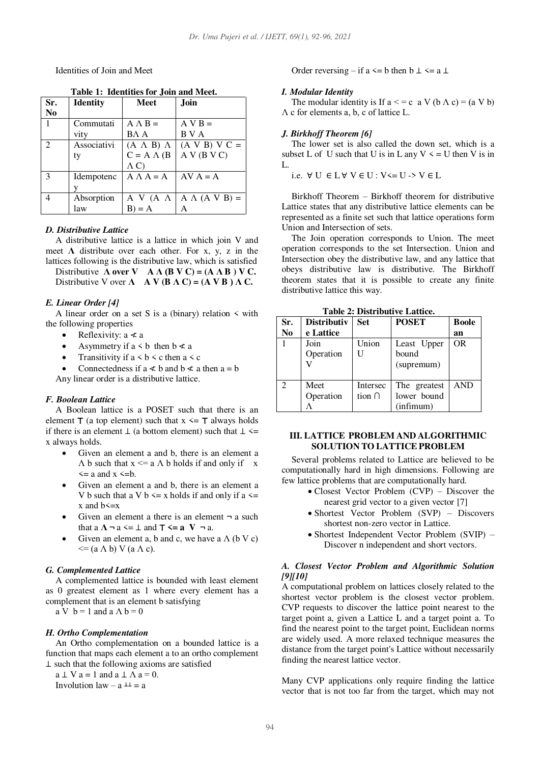Identities of Join and Meet

| Sr.            | <b>Identity</b> | <b>Meet</b>         | Join                    |
|----------------|-----------------|---------------------|-------------------------|
| No             |                 |                     |                         |
| 1              | Commutati       | $A \wedge B =$      | $A V B =$               |
|                | vity            | BA A                | B V A                   |
| $\mathfrak{D}$ | Associativi     | $(A \land B) \land$ | $(A \vee B) \vee C =$   |
|                | ty              | $C = A \wedge (B)$  | A V (B V C)             |
|                |                 | $\Lambda$ C)        |                         |
| 3              | Idempotenc      | $A \Lambda A = A$   | $AV A = A$              |
|                |                 |                     |                         |
|                | Absorption      | A V (A $\Lambda$    | $A \wedge (A \vee B) =$ |
|                | law             | $B$ ) = A           | Α                       |

 **Table 1: Identities for Join and Meet.** 

#### *D. Distributive Lattice*

A distributive lattice is a lattice in which join V and meet  $\Lambda$  distribute over each other. For x, y, z in the lattices following is the distributive law, which is satisfied

Distributive  $\Lambda$  over  $V$   $\Lambda \Lambda$  ( $B V C$ ) = ( $A \Lambda B$ ) V C. Distributive V over  $\Lambda$  **A V** ( $\mathbf{B} \Lambda \mathbf{C}$ ) = ( $\mathbf{A} \mathbf{V} \mathbf{B}$ )  $\Lambda \mathbf{C}$ .

## *E. Linear Order [4]*

A linear order on a set S is a (binary) relation  $\leq$  with the following properties

- Reflexivity:  $a \nless a$
- Asymmetry if  $a \leq b$  then  $b \leq a$
- Transitivity if  $a < b < c$  then  $a < c$
- Connectedness if  $a \leq b$  and  $b \leq a$  then  $a = b$

Any linear order is a distributive lattice.

## *F. Boolean Lattice*

A Boolean lattice is a POSET such that there is an element  $\mathsf{T}$  (a top element) such that  $x \leq \mathsf{T}$  always holds if there is an element  $\perp$  (a bottom element) such that  $\perp$  <= x always holds.

- Given an element a and b, there is an element a  $\Lambda$  b such that  $x \le a \Lambda$  b holds if and only if  $x$  $\leq$  a and  $x \leq$ b.
- Given an element a and b, there is an element a V b such that a V b  $\leq$  x holds if and only if a  $\leq$  $x$  and  $b \leq x$
- Given an element a there is an element  $\neg$  a such that a  $\Lambda \neg a \leq \bot$  and  $\top \leq a \ \textbf{V} \neg a$ .
- Given an element a, b and c, we have a  $\Lambda$  (b V c)  $\leq$  (a  $\Lambda$  b) V (a  $\Lambda$  c).

## *G. Complemented Lattice*

A complemented lattice is bounded with least element as 0 greatest element as 1 where every element has a complement that is an element b satisfying

 $\mathbf{a} \mathbf{V} \mathbf{b} = 1$  and  $\mathbf{a} \mathbf{A} \mathbf{b} = 0$ 

# *H. Ortho Complementation*

An Ortho complementation on a bounded lattice is a function that maps each element a to an ortho complement ⊥ such that the following axioms are satisfied

 $a \perp V$   $a = 1$  and  $a \perp \Lambda$   $a = 0$ . Involution law –  $a \perp a = a$ 

Order reversing – if a  $\leq$  b then b  $\perp \leq$  a  $\perp$ 

#### *I. Modular Identity*

The modular identity is If  $a \leq c$  a V  $(b \land c) = (a \lor b)$ Λ c for elements a, b, c of lattice L.

## *J. Birkhoff Theorem [6]*

The lower set is also called the down set, which is a subset L of U such that U is in L any  $V \le U$  then V is in L.

i.e. ∀ U ∈ L ∀ V ∈ U : V<= U -> V ∈ L

Birkhoff Theorem – Birkhoff theorem for distributive Lattice states that any distributive lattice elements can be represented as a finite set such that lattice operations form Union and Intersection of sets.

The Join operation corresponds to Union. The meet operation corresponds to the set Intersection. Union and Intersection obey the distributive law, and any lattice that obeys distributive law is distributive. The Birkhoff theorem states that it is possible to create any finite distributive lattice this way.

| Sr.            | <b>Distributiv</b> | <b>Set</b>  | <b>POSET</b> | <b>Boole</b> |
|----------------|--------------------|-------------|--------------|--------------|
| N <sub>0</sub> | e Lattice          |             |              | an           |
|                | Join               | Union       | Least Upper  | <b>OR</b>    |
|                | Operation          | U           | bound        |              |
|                |                    |             | (supremum)   |              |
|                |                    |             |              |              |
| $\mathfrak{D}$ | Meet               | Intersec    | The greatest | <b>AND</b>   |
|                | Operation          | tion $\cap$ | lower bound  |              |
|                |                    |             | (infimum)    |              |

 **Table 2: Distributive Lattice.** 

## **III. LATTICE PROBLEM AND ALGORITHMIC SOLUTION TO LATTICE PROBLEM**

Several problems related to Lattice are believed to be computationally hard in high dimensions. Following are few lattice problems that are computationally hard.

- Closest Vector Problem (CVP) Discover the nearest grid vector to a given vector [7]
- Shortest Vector Problem (SVP) Discovers shortest non-zero vector in Lattice.
- Shortest Independent Vector Problem (SVIP) Discover n independent and short vectors.

## *A. Closest Vector Problem and Algorithmic Solution [9][10]*

A computational problem on lattices closely related to the shortest vector problem is the closest vector problem. CVP requests to discover the lattice point nearest to the target point a, given a Lattice L and a target point a. To find the nearest point to the target point, Euclidean norms are widely used. A more relaxed technique measures the distance from the target point's Lattice without necessarily finding the nearest lattice vector.

Many CVP applications only require finding the lattice vector that is not too far from the target, which may not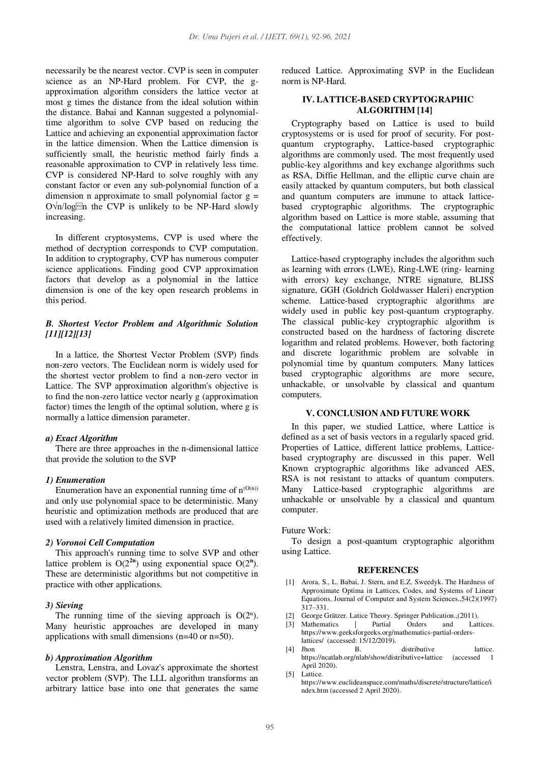necessarily be the nearest vector. CVP is seen in computer science as an NP-Hard problem. For CVP, the gapproximation algorithm considers the lattice vector at most g times the distance from the ideal solution within the distance. Babai and Kannan suggested a polynomialtime algorithm to solve CVP based on reducing the Lattice and achieving an exponential approximation factor in the lattice dimension. When the Lattice dimension is sufficiently small, the heuristic method fairly finds a reasonable approximation to CVP in relatively less time. CVP is considered NP-Hard to solve roughly with any constant factor or even any sub-polynomial function of a dimension n approximate to small polynomial factor  $g =$  $O\sqrt{n}/log^{100}$  the CVP is unlikely to be NP-Hard slowly increasing.

In different cryptosystems, CVP is used where the method of decryption corresponds to CVP computation. In addition to cryptography, CVP has numerous computer science applications. Finding good CVP approximation factors that develop as a polynomial in the lattice dimension is one of the key open research problems in this period.

# *B. Shortest Vector Problem and Algorithmic Solution [11][12][13]*

In a lattice, the Shortest Vector Problem (SVP) finds non-zero vectors. The Euclidean norm is widely used for the shortest vector problem to find a non-zero vector in Lattice. The SVP approximation algorithm's objective is to find the non-zero lattice vector nearly g (approximation factor) times the length of the optimal solution, where g is normally a lattice dimension parameter.

### *a) Exact Algorithm*

There are three approaches in the n-dimensional lattice that provide the solution to the SVP

## *1) Enumeration*

Enumeration have an exponential running time of  $n^{(O(n))}$ and only use polynomial space to be deterministic. Many heuristic and optimization methods are produced that are used with a relatively limited dimension in practice.

#### *2) Voronoi Cell Computation*

This approach's running time to solve SVP and other lattice problem is  $O(2^{2n})$  using exponential space  $O(2^n)$ . These are deterministic algorithms but not competitive in practice with other applications.

#### *3) Sieving*

The running time of the sieving approach is  $O(2^n)$ . Many heuristic approaches are developed in many applications with small dimensions (n=40 or n=50).

#### *b) Approximation Algorithm*

Lenstra, Lenstra, and Lovaz's approximate the shortest vector problem (SVP). The LLL algorithm transforms an arbitrary lattice base into one that generates the same reduced Lattice. Approximating SVP in the Euclidean norm is NP-Hard.

## **IV. LATTICE-BASED CRYPTOGRAPHIC ALGORITHM [14]**

Cryptography based on Lattice is used to build cryptosystems or is used for proof of security. For postquantum cryptography, Lattice-based cryptographic algorithms are commonly used. The most frequently used public-key algorithms and key exchange algorithms such as RSA, Diffie Hellman, and the elliptic curve chain are easily attacked by quantum computers, but both classical and quantum computers are immune to attack latticebased cryptographic algorithms. The cryptographic algorithm based on Lattice is more stable, assuming that the computational lattice problem cannot be solved effectively.

Lattice-based cryptography includes the algorithm such as learning with errors (LWE), Ring-LWE (ring- learning with errors) key exchange, NTRE signature, BLISS signature, GGH (Goldrich Goldwasser Haleri) encryption scheme. Lattice-based cryptographic algorithms are widely used in public key post-quantum cryptography. The classical public-key cryptographic algorithm is constructed based on the hardness of factoring discrete logarithm and related problems. However, both factoring and discrete logarithmic problem are solvable in polynomial time by quantum computers. Many lattices based cryptographic algorithms are more secure, unhackable, or unsolvable by classical and quantum computers.

## **V. CONCLUSION AND FUTURE WORK**

In this paper, we studied Lattice, where Lattice is defined as a set of basis vectors in a regularly spaced grid. Properties of Lattice, different lattice problems, Latticebased cryptography are discussed in this paper. Well Known cryptographic algorithms like advanced AES, RSA is not resistant to attacks of quantum computers. Many Lattice-based cryptographic algorithms are unhackable or unsolvable by a classical and quantum computer.

# Future Work:

To design a post-quantum cryptographic algorithm using Lattice.

### **REFERENCES**

- [1] Arora, S., L. Babai, J. Stern, and E.Z. Sweedyk. The Hardness of Approximate Optima in Lattices, Codes, and Systems of Linear Equations. Journal of Computer and System Sciences.,54(2)(1997) 317–331.
- [2] George Grätzer. Latice Theory. Springer Publication.,(2011).<br>
[3] Mathematics | Partial Orders and Lattices.
- [3] Mathematics | https://www.geeksforgeeks.org/mathematics-partial-orderslattices/ (accessed: 15/12/2019).
- [4] Jhon B. distributive lattice. https://ncatlab.org/nlab/show/distributive+lattice (accessed 1 April 2020).
- [5] Lattice. https://www.euclideanspace.com/maths/discrete/structure/lattice/i ndex.htm (accessed 2 April 2020).